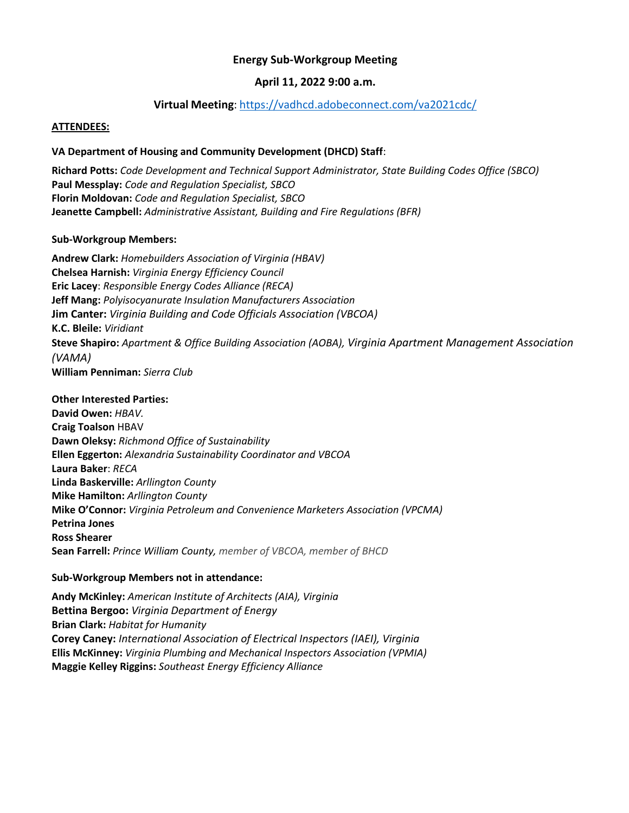# **Energy Sub-Workgroup Meeting**

# **April 11, 2022 9:00 a.m.**

# **Virtual Meeting**: <https://vadhcd.adobeconnect.com/va2021cdc/>

#### **ATTENDEES:**

### **VA Department of Housing and Community Development (DHCD) Staff**:

**Richard Potts:** *Code Development and Technical Support Administrator, State Building Codes Office (SBCO)* **Paul Messplay:** *Code and Regulation Specialist, SBCO* **Florin Moldovan:** *Code and Regulation Specialist, SBCO* **Jeanette Campbell:** *Administrative Assistant, Building and Fire Regulations (BFR)*

#### **Sub-Workgroup Members:**

**Andrew Clark:** *Homebuilders Association of Virginia (HBAV)* **Chelsea Harnish:** *Virginia Energy Efficiency Council* **Eric Lacey**: *Responsible Energy Codes Alliance (RECA)* **Jeff Mang:** *Polyisocyanurate Insulation Manufacturers Association* **Jim Canter:** *Virginia Building and Code Officials Association (VBCOA)* **K.C. Bleile:** *Viridiant* **Steve Shapiro:** *Apartment & Office Building Association (AOBA), Virginia Apartment Management Association (VAMA)*  **William Penniman:** *Sierra Club*

#### **Other Interested Parties:**

**David Owen:** *HBAV.* **Craig Toalson** HBAV **Dawn Oleksy:** *Richmond Office of Sustainability* **Ellen Eggerton:** *Alexandria Sustainability Coordinator and VBCOA* **Laura Baker**: *RECA* **Linda Baskerville:** *Arllington County* **Mike Hamilton:** *Arllington County* **Mike O'Connor:** *Virginia Petroleum and Convenience Marketers Association (VPCMA)* **Petrina Jones Ross Shearer Sean Farrell:** *Prince William County, member of VBCOA, member of BHCD*

### **Sub-Workgroup Members not in attendance:**

**Andy McKinley:** *American Institute of Architects (AIA), Virginia* **Bettina Bergoo:** *Virginia Department of Energy* **Brian Clark:** *Habitat for Humanity* **Corey Caney:** *International Association of Electrical Inspectors (IAEI), Virginia* **Ellis McKinney:** *Virginia Plumbing and Mechanical Inspectors Association (VPMIA)* **Maggie Kelley Riggins:** *Southeast Energy Efficiency Alliance*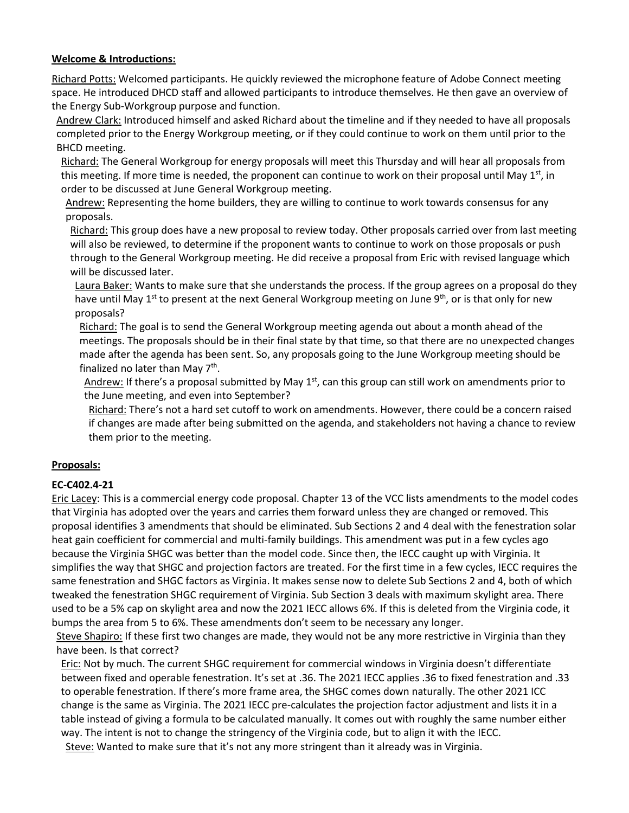## **Welcome & Introductions:**

Richard Potts: Welcomed participants. He quickly reviewed the microphone feature of Adobe Connect meeting space. He introduced DHCD staff and allowed participants to introduce themselves. He then gave an overview of the Energy Sub-Workgroup purpose and function.

Andrew Clark: Introduced himself and asked Richard about the timeline and if they needed to have all proposals completed prior to the Energy Workgroup meeting, or if they could continue to work on them until prior to the BHCD meeting.

Richard: The General Workgroup for energy proposals will meet this Thursday and will hear all proposals from this meeting. If more time is needed, the proponent can continue to work on their proposal until May  $1<sup>st</sup>$ , in order to be discussed at June General Workgroup meeting.

Andrew: Representing the home builders, they are willing to continue to work towards consensus for any proposals.

Richard: This group does have a new proposal to review today. Other proposals carried over from last meeting will also be reviewed, to determine if the proponent wants to continue to work on those proposals or push through to the General Workgroup meeting. He did receive a proposal from Eric with revised language which will be discussed later.

Laura Baker: Wants to make sure that she understands the process. If the group agrees on a proposal do they have until May 1<sup>st</sup> to present at the next General Workgroup meeting on June 9<sup>th</sup>, or is that only for new proposals?

Richard: The goal is to send the General Workgroup meeting agenda out about a month ahead of the meetings. The proposals should be in their final state by that time, so that there are no unexpected changes made after the agenda has been sent. So, any proposals going to the June Workgroup meeting should be finalized no later than May 7<sup>th</sup>.

Andrew: If there's a proposal submitted by May 1<sup>st</sup>, can this group can still work on amendments prior to the June meeting, and even into September?

Richard: There's not a hard set cutoff to work on amendments. However, there could be a concern raised if changes are made after being submitted on the agenda, and stakeholders not having a chance to review them prior to the meeting.

# **Proposals:**

# **EC-C402.4-21**

Eric Lacey: This is a commercial energy code proposal. Chapter 13 of the VCC lists amendments to the model codes that Virginia has adopted over the years and carries them forward unless they are changed or removed. This proposal identifies 3 amendments that should be eliminated. Sub Sections 2 and 4 deal with the fenestration solar heat gain coefficient for commercial and multi-family buildings. This amendment was put in a few cycles ago because the Virginia SHGC was better than the model code. Since then, the IECC caught up with Virginia. It simplifies the way that SHGC and projection factors are treated. For the first time in a few cycles, IECC requires the same fenestration and SHGC factors as Virginia. It makes sense now to delete Sub Sections 2 and 4, both of which tweaked the fenestration SHGC requirement of Virginia. Sub Section 3 deals with maximum skylight area. There used to be a 5% cap on skylight area and now the 2021 IECC allows 6%. If this is deleted from the Virginia code, it bumps the area from 5 to 6%. These amendments don't seem to be necessary any longer.

Steve Shapiro: If these first two changes are made, they would not be any more restrictive in Virginia than they have been. Is that correct?

Eric: Not by much. The current SHGC requirement for commercial windows in Virginia doesn't differentiate between fixed and operable fenestration. It's set at .36. The 2021 IECC applies .36 to fixed fenestration and .33 to operable fenestration. If there's more frame area, the SHGC comes down naturally. The other 2021 ICC change is the same as Virginia. The 2021 IECC pre-calculates the projection factor adjustment and lists it in a table instead of giving a formula to be calculated manually. It comes out with roughly the same number either way. The intent is not to change the stringency of the Virginia code, but to align it with the IECC. Steve: Wanted to make sure that it's not any more stringent than it already was in Virginia.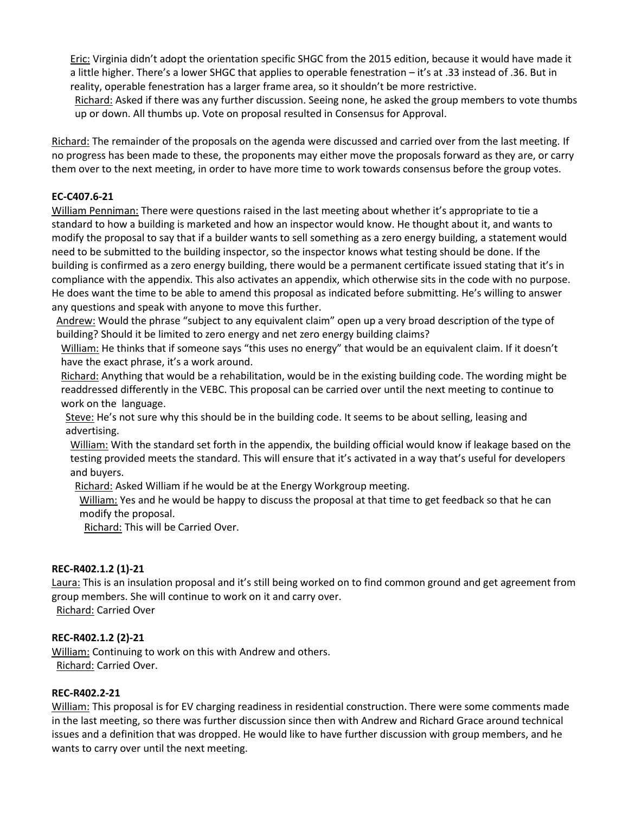Eric: Virginia didn't adopt the orientation specific SHGC from the 2015 edition, because it would have made it a little higher. There's a lower SHGC that applies to operable fenestration – it's at .33 instead of .36. But in reality, operable fenestration has a larger frame area, so it shouldn't be more restrictive.

Richard: Asked if there was any further discussion. Seeing none, he asked the group members to vote thumbs up or down. All thumbs up. Vote on proposal resulted in Consensus for Approval.

Richard: The remainder of the proposals on the agenda were discussed and carried over from the last meeting. If no progress has been made to these, the proponents may either move the proposals forward as they are, or carry them over to the next meeting, in order to have more time to work towards consensus before the group votes.

# **EC-C407.6-21**

William Penniman: There were questions raised in the last meeting about whether it's appropriate to tie a standard to how a building is marketed and how an inspector would know. He thought about it, and wants to modify the proposal to say that if a builder wants to sell something as a zero energy building, a statement would need to be submitted to the building inspector, so the inspector knows what testing should be done. If the building is confirmed as a zero energy building, there would be a permanent certificate issued stating that it's in compliance with the appendix. This also activates an appendix, which otherwise sits in the code with no purpose. He does want the time to be able to amend this proposal as indicated before submitting. He's willing to answer any questions and speak with anyone to move this further.

Andrew: Would the phrase "subject to any equivalent claim" open up a very broad description of the type of building? Should it be limited to zero energy and net zero energy building claims?

William: He thinks that if someone says "this uses no energy" that would be an equivalent claim. If it doesn't have the exact phrase, it's a work around.

Richard: Anything that would be a rehabilitation, would be in the existing building code. The wording might be readdressed differently in the VEBC. This proposal can be carried over until the next meeting to continue to work on the language.

Steve: He's not sure why this should be in the building code. It seems to be about selling, leasing and advertising.

William: With the standard set forth in the appendix, the building official would know if leakage based on the testing provided meets the standard. This will ensure that it's activated in a way that's useful for developers and buyers.

Richard: Asked William if he would be at the Energy Workgroup meeting.

William: Yes and he would be happy to discuss the proposal at that time to get feedback so that he can modify the proposal.

Richard: This will be Carried Over.

### **REC-R402.1.2 (1)-21**

Laura: This is an insulation proposal and it's still being worked on to find common ground and get agreement from group members. She will continue to work on it and carry over.

Richard: Carried Over

### **REC-R402.1.2 (2)-21**

William: Continuing to work on this with Andrew and others. Richard: Carried Over.

### **REC-R402.2-21**

William: This proposal is for EV charging readiness in residential construction. There were some comments made in the last meeting, so there was further discussion since then with Andrew and Richard Grace around technical issues and a definition that was dropped. He would like to have further discussion with group members, and he wants to carry over until the next meeting.